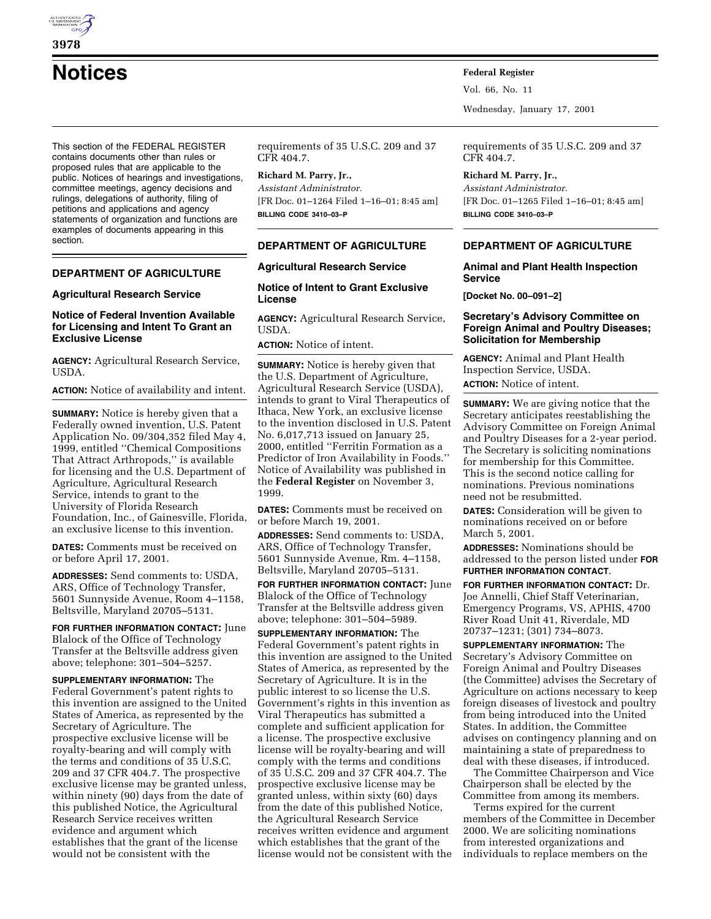

**Notices Federal Register**

This section of the FEDERAL REGISTER contains documents other than rules or proposed rules that are applicable to the public. Notices of hearings and investigations, committee meetings, agency decisions and rulings, delegations of authority, filing of petitions and applications and agency statements of organization and functions are examples of documents appearing in this section.

#### **DEPARTMENT OF AGRICULTURE**

#### **Agricultural Research Service**

## **Notice of Federal Invention Available for Licensing and Intent To Grant an Exclusive License**

**AGENCY:** Agricultural Research Service, USDA.

**ACTION:** Notice of availability and intent.

**SUMMARY:** Notice is hereby given that a Federally owned invention, U.S. Patent Application No. 09/304,352 filed May 4, 1999, entitled ''Chemical Compositions That Attract Arthropods,'' is available for licensing and the U.S. Department of Agriculture, Agricultural Research Service, intends to grant to the University of Florida Research Foundation, Inc., of Gainesville, Florida, an exclusive license to this invention.

**DATES:** Comments must be received on or before April 17, 2001.

**ADDRESSES:** Send comments to: USDA, ARS, Office of Technology Transfer, 5601 Sunnyside Avenue, Room 4–1158, Beltsville, Maryland 20705–5131.

**FOR FURTHER INFORMATION CONTACT:** June Blalock of the Office of Technology Transfer at the Beltsville address given above; telephone: 301–504–5257.

**SUPPLEMENTARY INFORMATION:** The Federal Government's patent rights to this invention are assigned to the United States of America, as represented by the Secretary of Agriculture. The prospective exclusive license will be royalty-bearing and will comply with the terms and conditions of 35 U.S.C. 209 and 37 CFR 404.7. The prospective exclusive license may be granted unless, within ninety (90) days from the date of this published Notice, the Agricultural Research Service receives written evidence and argument which establishes that the grant of the license would not be consistent with the

requirements of 35 U.S.C. 209 and 37 CFR 404.7.

# **Richard M. Parry, Jr.,**

*Assistant Administrator.* [FR Doc. 01–1264 Filed 1–16–01; 8:45 am] **BILLING CODE 3410–03–P**

# **DEPARTMENT OF AGRICULTURE**

### **Agricultural Research Service**

**Notice of Intent to Grant Exclusive License**

**AGENCY:** Agricultural Research Service, USDA.

**ACTION:** Notice of intent.

**SUMMARY:** Notice is hereby given that the U.S. Department of Agriculture, Agricultural Research Service (USDA), intends to grant to Viral Therapeutics of Ithaca, New York, an exclusive license to the invention disclosed in U.S. Patent No. 6,017,713 issued on January 25, 2000, entitled ''Ferritin Formation as a Predictor of Iron Availability in Foods.'' Notice of Availability was published in the **Federal Register** on November 3, 1999.

**DATES:** Comments must be received on or before March 19, 2001.

**ADDRESSES:** Send comments to: USDA, ARS, Office of Technology Transfer, 5601 Sunnyside Avenue, Rm. 4–1158, Beltsville, Maryland 20705–5131.

**FOR FURTHER INFORMATION CONTACT:** June Blalock of the Office of Technology Transfer at the Beltsville address given above; telephone: 301–504–5989.

**SUPPLEMENTARY INFORMATION:** The Federal Government's patent rights in this invention are assigned to the United States of America, as represented by the Secretary of Agriculture. It is in the public interest to so license the U.S. Government's rights in this invention as Viral Therapeutics has submitted a complete and sufficient application for a license. The prospective exclusive license will be royalty-bearing and will comply with the terms and conditions of 35 U.S.C. 209 and 37 CFR 404.7. The prospective exclusive license may be granted unless, within sixty (60) days from the date of this published Notice, the Agricultural Research Service receives written evidence and argument which establishes that the grant of the license would not be consistent with the

Vol. 66, No. 11

Wednesday, January 17, 2001

requirements of 35 U.S.C. 209 and 37 CFR 404.7.

**Richard M. Parry, Jr.,** *Assistant Administrator.* [FR Doc. 01–1265 Filed 1–16–01; 8:45 am] **BILLING CODE 3410–03–P**

## **DEPARTMENT OF AGRICULTURE**

### **Animal and Plant Health Inspection Service**

**[Docket No. 00–091–2]**

#### **Secretary's Advisory Committee on Foreign Animal and Poultry Diseases; Solicitation for Membership**

**AGENCY:** Animal and Plant Health Inspection Service, USDA. **ACTION:** Notice of intent.

**SUMMARY:** We are giving notice that the Secretary anticipates reestablishing the Advisory Committee on Foreign Animal and Poultry Diseases for a 2-year period. The Secretary is soliciting nominations for membership for this Committee. This is the second notice calling for nominations. Previous nominations need not be resubmitted.

**DATES:** Consideration will be given to nominations received on or before March 5, 2001.

**ADDRESSES:** Nominations should be addressed to the person listed under **FOR FURTHER INFORMATION CONTACT**.

**FOR FURTHER INFORMATION CONTACT:** Dr. Joe Annelli, Chief Staff Veterinarian, Emergency Programs, VS, APHIS, 4700 River Road Unit 41, Riverdale, MD 20737–1231; (301) 734–8073.

**SUPPLEMENTARY INFORMATION:** The Secretary's Advisory Committee on Foreign Animal and Poultry Diseases (the Committee) advises the Secretary of Agriculture on actions necessary to keep foreign diseases of livestock and poultry from being introduced into the United States. In addition, the Committee advises on contingency planning and on maintaining a state of preparedness to deal with these diseases, if introduced.

The Committee Chairperson and Vice Chairperson shall be elected by the Committee from among its members.

Terms expired for the current members of the Committee in December 2000. We are soliciting nominations from interested organizations and individuals to replace members on the